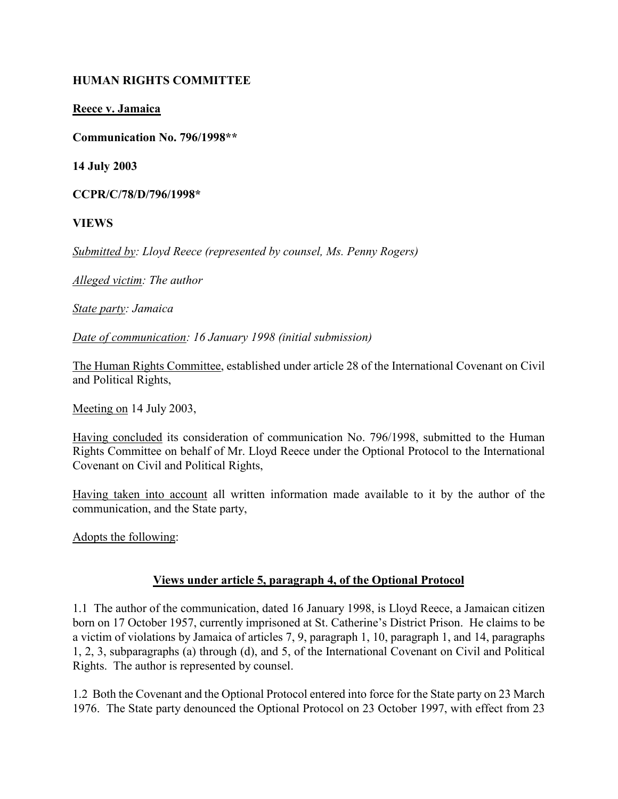# HUMAN RIGHTS COMMITTEE

# Reece v. Jamaica

Communication No. 796/1998\*\*

14 July 2003

CCPR/C/78/D/796/1998\*

VIEWS

Submitted by: Lloyd Reece (represented by counsel, Ms. Penny Rogers)

Alleged victim: The author

State party: Jamaica

Date of communication: 16 January 1998 (initial submission)

The Human Rights Committee, established under article 28 of the International Covenant on Civil and Political Rights,

Meeting on 14 July 2003,

Having concluded its consideration of communication No. 796/1998, submitted to the Human Rights Committee on behalf of Mr. Lloyd Reece under the Optional Protocol to the International Covenant on Civil and Political Rights,

Having taken into account all written information made available to it by the author of the communication, and the State party,

Adopts the following:

# Views under article 5, paragraph 4, of the Optional Protocol

1.1 The author of the communication, dated 16 January 1998, is Lloyd Reece, a Jamaican citizen born on 17 October 1957, currently imprisoned at St. Catherine's District Prison. He claims to be a victim of violations by Jamaica of articles 7, 9, paragraph 1, 10, paragraph 1, and 14, paragraphs 1, 2, 3, subparagraphs (a) through (d), and 5, of the International Covenant on Civil and Political Rights. The author is represented by counsel.

1.2 Both the Covenant and the Optional Protocol entered into force for the State party on 23 March 1976. The State party denounced the Optional Protocol on 23 October 1997, with effect from 23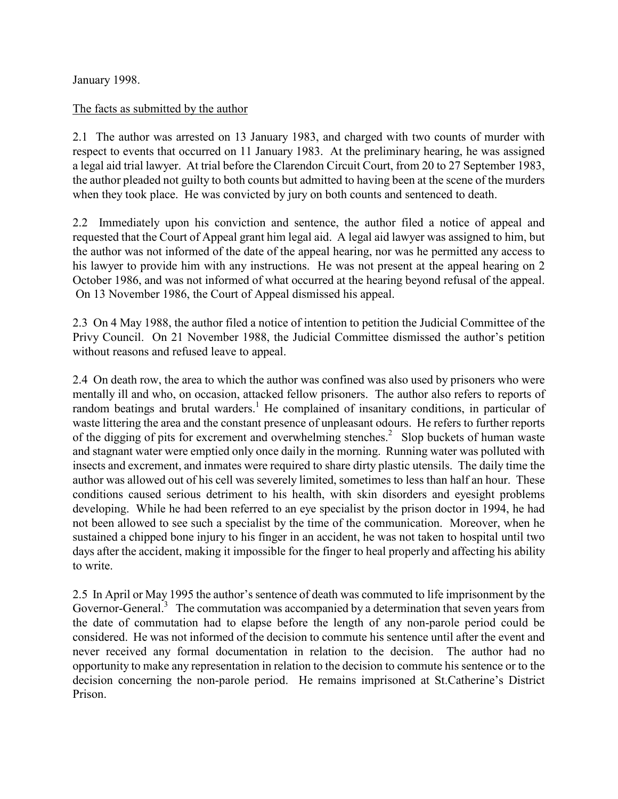January 1998.

#### The facts as submitted by the author

2.1 The author was arrested on 13 January 1983, and charged with two counts of murder with respect to events that occurred on 11 January 1983. At the preliminary hearing, he was assigned a legal aid trial lawyer. At trial before the Clarendon Circuit Court, from 20 to 27 September 1983, the author pleaded not guilty to both counts but admitted to having been at the scene of the murders when they took place. He was convicted by jury on both counts and sentenced to death.

2.2 Immediately upon his conviction and sentence, the author filed a notice of appeal and requested that the Court of Appeal grant him legal aid. A legal aid lawyer was assigned to him, but the author was not informed of the date of the appeal hearing, nor was he permitted any access to his lawyer to provide him with any instructions. He was not present at the appeal hearing on 2 October 1986, and was not informed of what occurred at the hearing beyond refusal of the appeal. On 13 November 1986, the Court of Appeal dismissed his appeal.

2.3 On 4 May 1988, the author filed a notice of intention to petition the Judicial Committee of the Privy Council. On 21 November 1988, the Judicial Committee dismissed the author's petition without reasons and refused leave to appeal.

2.4 On death row, the area to which the author was confined was also used by prisoners who were mentally ill and who, on occasion, attacked fellow prisoners. The author also refers to reports of random beatings and brutal warders.<sup>1</sup> He complained of insanitary conditions, in particular of waste littering the area and the constant presence of unpleasant odours. He refers to further reports of the digging of pits for excrement and overwhelming stenches.<sup>2</sup> Slop buckets of human waste and stagnant water were emptied only once daily in the morning. Running water was polluted with insects and excrement, and inmates were required to share dirty plastic utensils. The daily time the author was allowed out of his cell was severely limited, sometimes to less than half an hour. These conditions caused serious detriment to his health, with skin disorders and eyesight problems developing. While he had been referred to an eye specialist by the prison doctor in 1994, he had not been allowed to see such a specialist by the time of the communication. Moreover, when he sustained a chipped bone injury to his finger in an accident, he was not taken to hospital until two days after the accident, making it impossible for the finger to heal properly and affecting his ability to write.

2.5 In April or May 1995 the author's sentence of death was commuted to life imprisonment by the Governor-General.<sup>3</sup> The commutation was accompanied by a determination that seven years from the date of commutation had to elapse before the length of any non-parole period could be considered. He was not informed of the decision to commute his sentence until after the event and never received any formal documentation in relation to the decision. The author had no opportunity to make any representation in relation to the decision to commute his sentence or to the decision concerning the non-parole period. He remains imprisoned at St.Catherine's District Prison.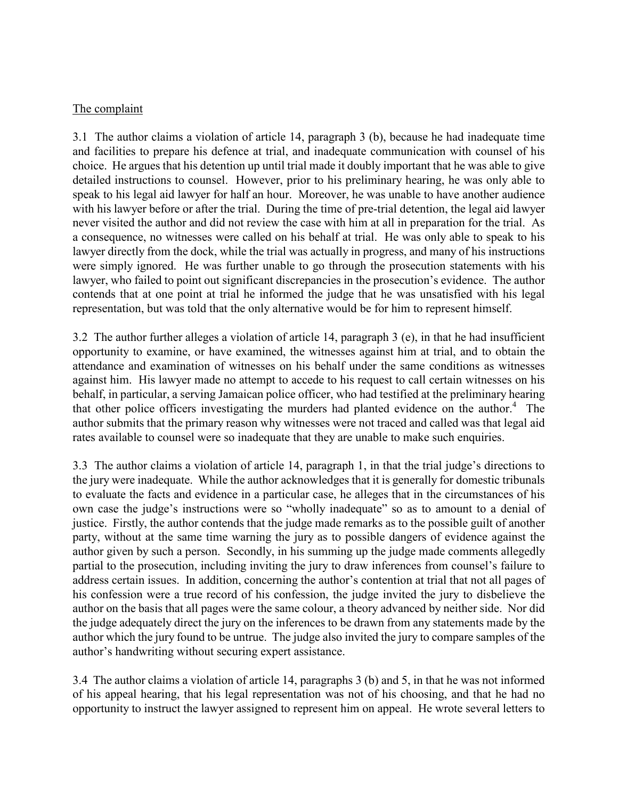#### The complaint

3.1 The author claims a violation of article 14, paragraph 3 (b), because he had inadequate time and facilities to prepare his defence at trial, and inadequate communication with counsel of his choice. He argues that his detention up until trial made it doubly important that he was able to give detailed instructions to counsel. However, prior to his preliminary hearing, he was only able to speak to his legal aid lawyer for half an hour. Moreover, he was unable to have another audience with his lawyer before or after the trial. During the time of pre-trial detention, the legal aid lawyer never visited the author and did not review the case with him at all in preparation for the trial. As a consequence, no witnesses were called on his behalf at trial. He was only able to speak to his lawyer directly from the dock, while the trial was actually in progress, and many of his instructions were simply ignored. He was further unable to go through the prosecution statements with his lawyer, who failed to point out significant discrepancies in the prosecution's evidence. The author contends that at one point at trial he informed the judge that he was unsatisfied with his legal representation, but was told that the only alternative would be for him to represent himself.

3.2 The author further alleges a violation of article 14, paragraph 3 (e), in that he had insufficient opportunity to examine, or have examined, the witnesses against him at trial, and to obtain the attendance and examination of witnesses on his behalf under the same conditions as witnesses against him. His lawyer made no attempt to accede to his request to call certain witnesses on his behalf, in particular, a serving Jamaican police officer, who had testified at the preliminary hearing that other police officers investigating the murders had planted evidence on the author.<sup>4</sup> The author submits that the primary reason why witnesses were not traced and called was that legal aid rates available to counsel were so inadequate that they are unable to make such enquiries.

3.3 The author claims a violation of article 14, paragraph 1, in that the trial judge's directions to the jury were inadequate. While the author acknowledges that it is generally for domestic tribunals to evaluate the facts and evidence in a particular case, he alleges that in the circumstances of his own case the judge's instructions were so "wholly inadequate" so as to amount to a denial of justice. Firstly, the author contends that the judge made remarks as to the possible guilt of another party, without at the same time warning the jury as to possible dangers of evidence against the author given by such a person. Secondly, in his summing up the judge made comments allegedly partial to the prosecution, including inviting the jury to draw inferences from counsel's failure to address certain issues. In addition, concerning the author's contention at trial that not all pages of his confession were a true record of his confession, the judge invited the jury to disbelieve the author on the basis that all pages were the same colour, a theory advanced by neither side. Nor did the judge adequately direct the jury on the inferences to be drawn from any statements made by the author which the jury found to be untrue. The judge also invited the jury to compare samples of the author's handwriting without securing expert assistance.

3.4 The author claims a violation of article 14, paragraphs 3 (b) and 5, in that he was not informed of his appeal hearing, that his legal representation was not of his choosing, and that he had no opportunity to instruct the lawyer assigned to represent him on appeal. He wrote several letters to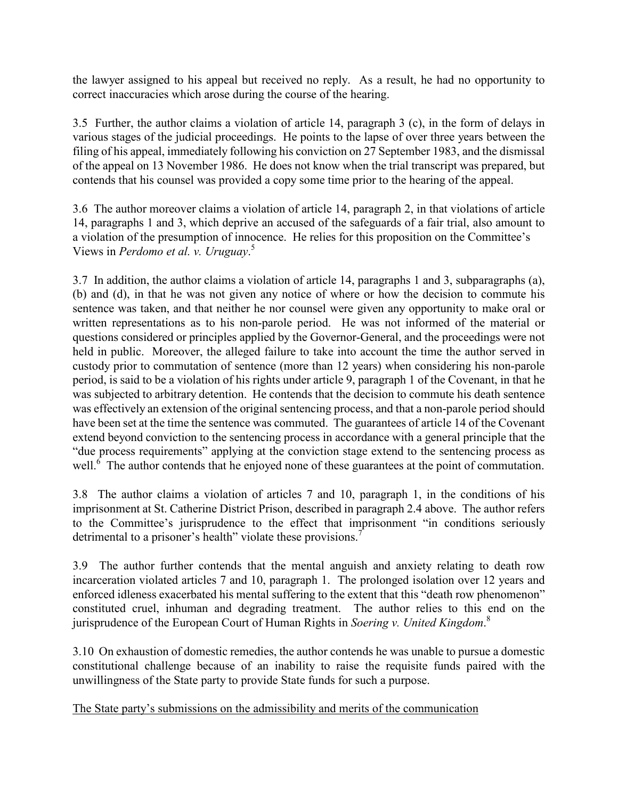the lawyer assigned to his appeal but received no reply. As a result, he had no opportunity to correct inaccuracies which arose during the course of the hearing.

3.5 Further, the author claims a violation of article 14, paragraph 3 (c), in the form of delays in various stages of the judicial proceedings. He points to the lapse of over three years between the filing of his appeal, immediately following his conviction on 27 September 1983, and the dismissal of the appeal on 13 November 1986. He does not know when the trial transcript was prepared, but contends that his counsel was provided a copy some time prior to the hearing of the appeal.

3.6 The author moreover claims a violation of article 14, paragraph 2, in that violations of article 14, paragraphs 1 and 3, which deprive an accused of the safeguards of a fair trial, also amount to a violation of the presumption of innocence. He relies for this proposition on the Committee's Views in *Perdomo et al. v. Uruguay.*<sup>5</sup>

3.7 In addition, the author claims a violation of article 14, paragraphs 1 and 3, subparagraphs (a), (b) and (d), in that he was not given any notice of where or how the decision to commute his sentence was taken, and that neither he nor counsel were given any opportunity to make oral or written representations as to his non-parole period. He was not informed of the material or questions considered or principles applied by the Governor-General, and the proceedings were not held in public. Moreover, the alleged failure to take into account the time the author served in custody prior to commutation of sentence (more than 12 years) when considering his non-parole period, is said to be a violation of his rights under article 9, paragraph 1 of the Covenant, in that he was subjected to arbitrary detention. He contends that the decision to commute his death sentence was effectively an extension of the original sentencing process, and that a non-parole period should have been set at the time the sentence was commuted. The guarantees of article 14 of the Covenant extend beyond conviction to the sentencing process in accordance with a general principle that the "due process requirements" applying at the conviction stage extend to the sentencing process as well. $\frac{6}{10}$  The author contends that he enjoyed none of these guarantees at the point of commutation.

3.8 The author claims a violation of articles 7 and 10, paragraph 1, in the conditions of his imprisonment at St. Catherine District Prison, described in paragraph 2.4 above. The author refers to the Committee's jurisprudence to the effect that imprisonment "in conditions seriously detrimental to a prisoner's health" violate these provisions.<sup>7</sup>

3.9 The author further contends that the mental anguish and anxiety relating to death row incarceration violated articles 7 and 10, paragraph 1. The prolonged isolation over 12 years and enforced idleness exacerbated his mental suffering to the extent that this "death row phenomenon" constituted cruel, inhuman and degrading treatment. The author relies to this end on the jurisprudence of the European Court of Human Rights in Soering v. United Kingdom.<sup>8</sup>

3.10 On exhaustion of domestic remedies, the author contends he was unable to pursue a domestic constitutional challenge because of an inability to raise the requisite funds paired with the unwillingness of the State party to provide State funds for such a purpose.

The State party's submissions on the admissibility and merits of the communication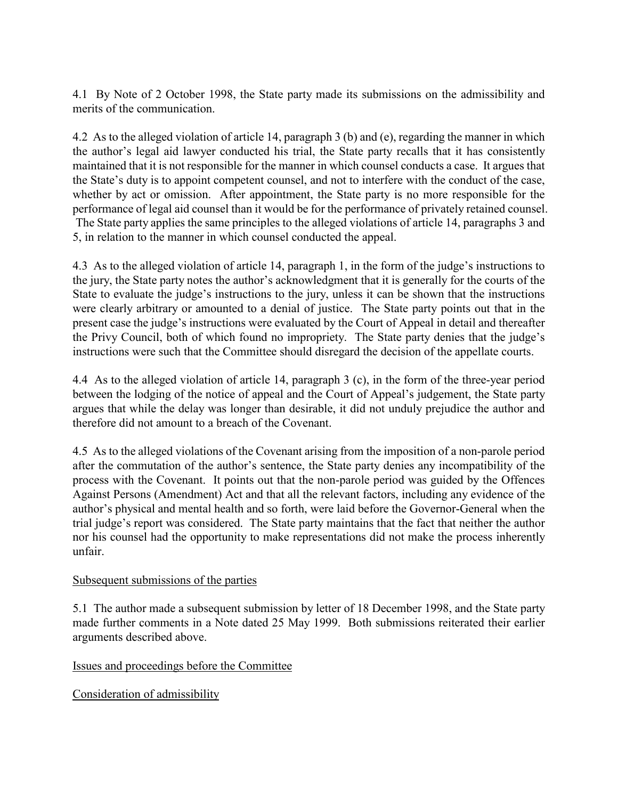4.1 By Note of 2 October 1998, the State party made its submissions on the admissibility and merits of the communication.

4.2 As to the alleged violation of article 14, paragraph 3 (b) and (e), regarding the manner in which the author's legal aid lawyer conducted his trial, the State party recalls that it has consistently maintained that it is not responsible for the manner in which counsel conducts a case. It argues that the State's duty is to appoint competent counsel, and not to interfere with the conduct of the case, whether by act or omission. After appointment, the State party is no more responsible for the performance of legal aid counsel than it would be for the performance of privately retained counsel. The State party applies the same principles to the alleged violations of article 14, paragraphs 3 and 5, in relation to the manner in which counsel conducted the appeal.

4.3 As to the alleged violation of article 14, paragraph 1, in the form of the judge's instructions to the jury, the State party notes the author's acknowledgment that it is generally for the courts of the State to evaluate the judge's instructions to the jury, unless it can be shown that the instructions were clearly arbitrary or amounted to a denial of justice. The State party points out that in the present case the judge's instructions were evaluated by the Court of Appeal in detail and thereafter the Privy Council, both of which found no impropriety. The State party denies that the judge's instructions were such that the Committee should disregard the decision of the appellate courts.

4.4 As to the alleged violation of article 14, paragraph 3 (c), in the form of the three-year period between the lodging of the notice of appeal and the Court of Appeal's judgement, the State party argues that while the delay was longer than desirable, it did not unduly prejudice the author and therefore did not amount to a breach of the Covenant.

4.5 As to the alleged violations of the Covenant arising from the imposition of a non-parole period after the commutation of the author's sentence, the State party denies any incompatibility of the process with the Covenant. It points out that the non-parole period was guided by the Offences Against Persons (Amendment) Act and that all the relevant factors, including any evidence of the author's physical and mental health and so forth, were laid before the Governor-General when the trial judge's report was considered. The State party maintains that the fact that neither the author nor his counsel had the opportunity to make representations did not make the process inherently unfair.

# Subsequent submissions of the parties

5.1 The author made a subsequent submission by letter of 18 December 1998, and the State party made further comments in a Note dated 25 May 1999. Both submissions reiterated their earlier arguments described above.

# Issues and proceedings before the Committee

Consideration of admissibility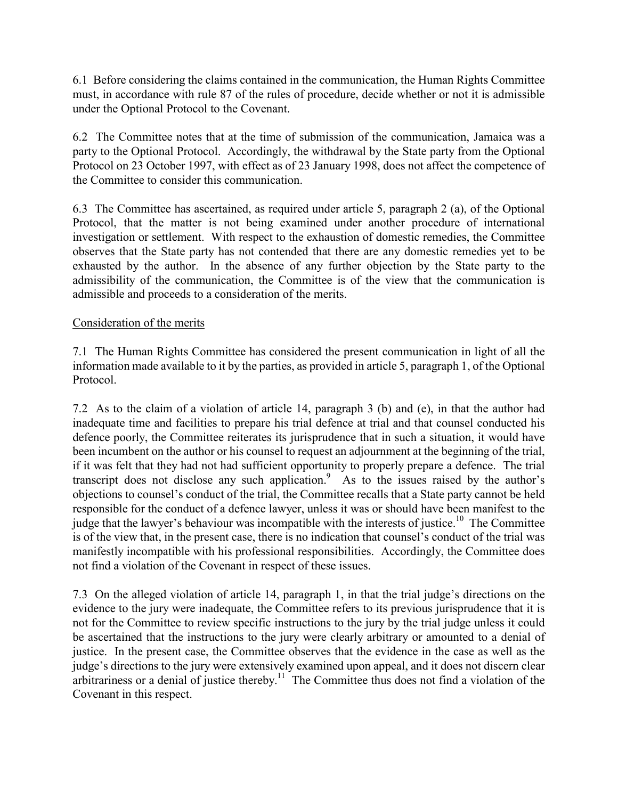6.1 Before considering the claims contained in the communication, the Human Rights Committee must, in accordance with rule 87 of the rules of procedure, decide whether or not it is admissible under the Optional Protocol to the Covenant.

6.2 The Committee notes that at the time of submission of the communication, Jamaica was a party to the Optional Protocol. Accordingly, the withdrawal by the State party from the Optional Protocol on 23 October 1997, with effect as of 23 January 1998, does not affect the competence of the Committee to consider this communication.

6.3 The Committee has ascertained, as required under article 5, paragraph 2 (a), of the Optional Protocol, that the matter is not being examined under another procedure of international investigation or settlement. With respect to the exhaustion of domestic remedies, the Committee observes that the State party has not contended that there are any domestic remedies yet to be exhausted by the author. In the absence of any further objection by the State party to the admissibility of the communication, the Committee is of the view that the communication is admissible and proceeds to a consideration of the merits.

# Consideration of the merits

7.1 The Human Rights Committee has considered the present communication in light of all the information made available to it by the parties, as provided in article 5, paragraph 1, of the Optional Protocol.

7.2 As to the claim of a violation of article 14, paragraph 3 (b) and (e), in that the author had inadequate time and facilities to prepare his trial defence at trial and that counsel conducted his defence poorly, the Committee reiterates its jurisprudence that in such a situation, it would have been incumbent on the author or his counsel to request an adjournment at the beginning of the trial, if it was felt that they had not had sufficient opportunity to properly prepare a defence. The trial transcript does not disclose any such application.<sup>9</sup> As to the issues raised by the author's objections to counsel's conduct of the trial, the Committee recalls that a State party cannot be held responsible for the conduct of a defence lawyer, unless it was or should have been manifest to the judge that the lawyer's behaviour was incompatible with the interests of justice.<sup>10</sup> The Committee is of the view that, in the present case, there is no indication that counsel's conduct of the trial was manifestly incompatible with his professional responsibilities. Accordingly, the Committee does not find a violation of the Covenant in respect of these issues.

7.3 On the alleged violation of article 14, paragraph 1, in that the trial judge's directions on the evidence to the jury were inadequate, the Committee refers to its previous jurisprudence that it is not for the Committee to review specific instructions to the jury by the trial judge unless it could be ascertained that the instructions to the jury were clearly arbitrary or amounted to a denial of justice. In the present case, the Committee observes that the evidence in the case as well as the judge's directions to the jury were extensively examined upon appeal, and it does not discern clear arbitrariness or a denial of justice thereby.<sup>11</sup> The Committee thus does not find a violation of the Covenant in this respect.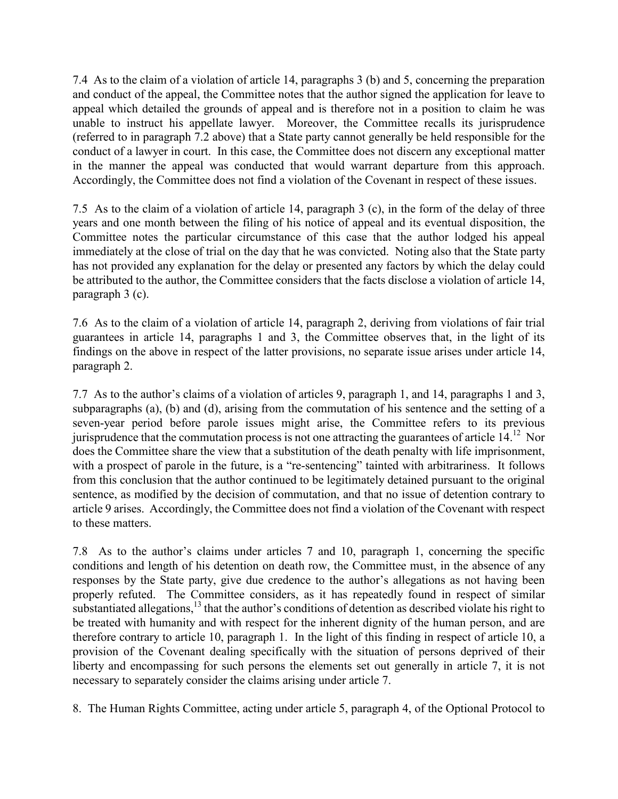7.4 As to the claim of a violation of article 14, paragraphs 3 (b) and 5, concerning the preparation and conduct of the appeal, the Committee notes that the author signed the application for leave to appeal which detailed the grounds of appeal and is therefore not in a position to claim he was unable to instruct his appellate lawyer. Moreover, the Committee recalls its jurisprudence (referred to in paragraph 7.2 above) that a State party cannot generally be held responsible for the conduct of a lawyer in court. In this case, the Committee does not discern any exceptional matter in the manner the appeal was conducted that would warrant departure from this approach. Accordingly, the Committee does not find a violation of the Covenant in respect of these issues.

7.5 As to the claim of a violation of article 14, paragraph 3 (c), in the form of the delay of three years and one month between the filing of his notice of appeal and its eventual disposition, the Committee notes the particular circumstance of this case that the author lodged his appeal immediately at the close of trial on the day that he was convicted. Noting also that the State party has not provided any explanation for the delay or presented any factors by which the delay could be attributed to the author, the Committee considers that the facts disclose a violation of article 14, paragraph 3 (c).

7.6 As to the claim of a violation of article 14, paragraph 2, deriving from violations of fair trial guarantees in article 14, paragraphs 1 and 3, the Committee observes that, in the light of its findings on the above in respect of the latter provisions, no separate issue arises under article 14, paragraph 2.

7.7 As to the author's claims of a violation of articles 9, paragraph 1, and 14, paragraphs 1 and 3, subparagraphs (a), (b) and (d), arising from the commutation of his sentence and the setting of a seven-year period before parole issues might arise, the Committee refers to its previous jurisprudence that the commutation process is not one attracting the guarantees of article  $14.^{12}$  Nor does the Committee share the view that a substitution of the death penalty with life imprisonment, with a prospect of parole in the future, is a "re-sentencing" tainted with arbitrariness. It follows from this conclusion that the author continued to be legitimately detained pursuant to the original sentence, as modified by the decision of commutation, and that no issue of detention contrary to article 9 arises. Accordingly, the Committee does not find a violation of the Covenant with respect to these matters.

7.8 As to the author's claims under articles 7 and 10, paragraph 1, concerning the specific conditions and length of his detention on death row, the Committee must, in the absence of any responses by the State party, give due credence to the author's allegations as not having been properly refuted. The Committee considers, as it has repeatedly found in respect of similar substantiated allegations, $^{13}$  that the author's conditions of detention as described violate his right to be treated with humanity and with respect for the inherent dignity of the human person, and are therefore contrary to article 10, paragraph 1. In the light of this finding in respect of article 10, a provision of the Covenant dealing specifically with the situation of persons deprived of their liberty and encompassing for such persons the elements set out generally in article 7, it is not necessary to separately consider the claims arising under article 7.

8. The Human Rights Committee, acting under article 5, paragraph 4, of the Optional Protocol to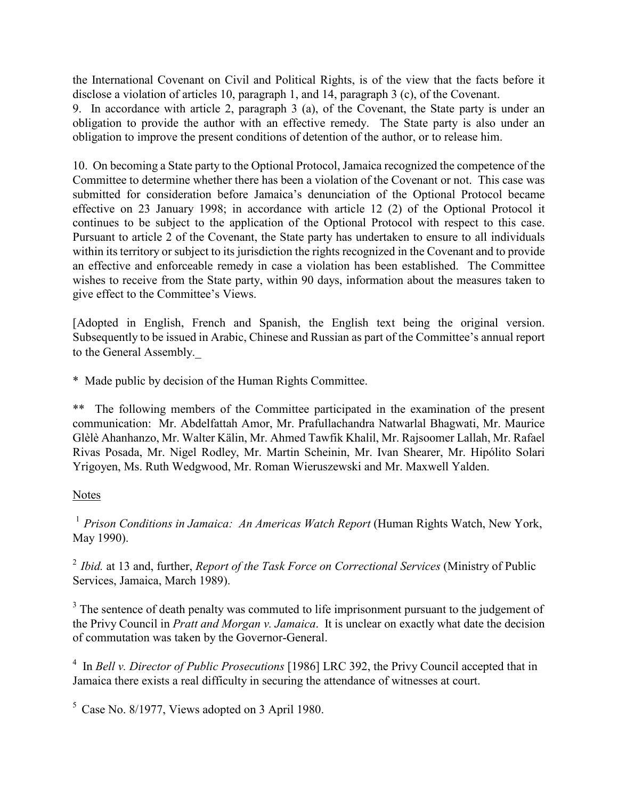the International Covenant on Civil and Political Rights, is of the view that the facts before it disclose a violation of articles 10, paragraph 1, and 14, paragraph 3 (c), of the Covenant.

9. In accordance with article 2, paragraph 3 (a), of the Covenant, the State party is under an obligation to provide the author with an effective remedy. The State party is also under an obligation to improve the present conditions of detention of the author, or to release him.

10. On becoming a State party to the Optional Protocol, Jamaica recognized the competence of the Committee to determine whether there has been a violation of the Covenant or not. This case was submitted for consideration before Jamaica's denunciation of the Optional Protocol became effective on 23 January 1998; in accordance with article 12 (2) of the Optional Protocol it continues to be subject to the application of the Optional Protocol with respect to this case. Pursuant to article 2 of the Covenant, the State party has undertaken to ensure to all individuals within its territory or subject to its jurisdiction the rights recognized in the Covenant and to provide an effective and enforceable remedy in case a violation has been established. The Committee wishes to receive from the State party, within 90 days, information about the measures taken to give effect to the Committee's Views.

[Adopted in English, French and Spanish, the English text being the original version. Subsequently to be issued in Arabic, Chinese and Russian as part of the Committee's annual report to the General Assembly.

\* Made public by decision of the Human Rights Committee.

\*\* The following members of the Committee participated in the examination of the present communication: Mr. Abdelfattah Amor, Mr. Prafullachandra Natwarlal Bhagwati, Mr. Maurice Glèlè Ahanhanzo, Mr. Walter Kälin, Mr. Ahmed Tawfik Khalil, Mr. Rajsoomer Lallah, Mr. Rafael Rivas Posada, Mr. Nigel Rodley, Mr. Martin Scheinin, Mr. Ivan Shearer, Mr. Hipólito Solari Yrigoyen, Ms. Ruth Wedgwood, Mr. Roman Wieruszewski and Mr. Maxwell Yalden.

# Notes

<sup>1</sup> Prison Conditions in Jamaica: An Americas Watch Report (Human Rights Watch, New York, May 1990).

 $2$  Ibid. at 13 and, further, *Report of the Task Force on Correctional Services* (Ministry of Public Services, Jamaica, March 1989).

 $3$  The sentence of death penalty was commuted to life imprisonment pursuant to the judgement of the Privy Council in Pratt and Morgan v. Jamaica. It is unclear on exactly what date the decision of commutation was taken by the Governor-General.

 $4 \text{ In Bell v. Director of Public Processing [1986] LRC 392, the Privy Council accepted that in }$ Jamaica there exists a real difficulty in securing the attendance of witnesses at court.

 $5$  Case No. 8/1977, Views adopted on 3 April 1980.